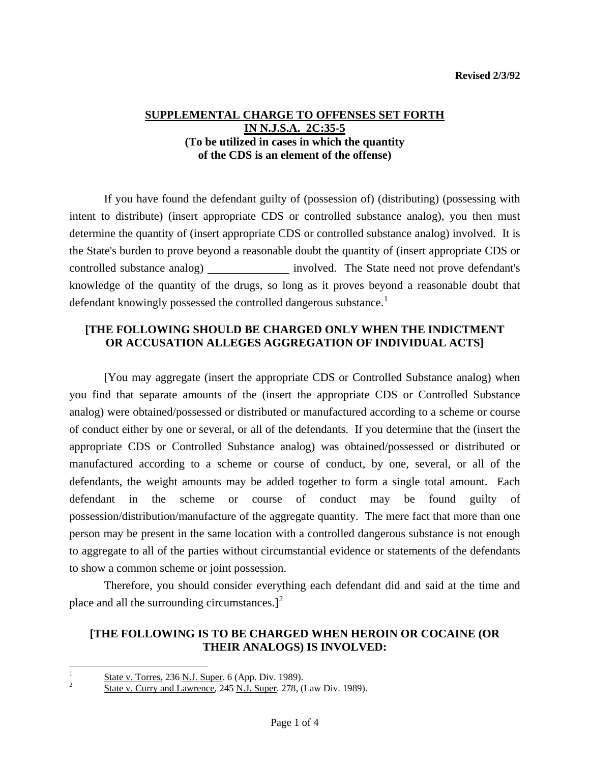## **SUPPLEMENTAL CHARGE TO OFFENSES SET FORTH IN N.J.S.A. 2C:35-5 (To be utilized in cases in which the quantity of the CDS is an element of the offense)**

 If you have found the defendant guilty of (possession of) (distributing) (possessing with intent to distribute) (insert appropriate CDS or controlled substance analog), you then must determine the quantity of (insert appropriate CDS or controlled substance analog) involved. It is the State's burden to prove beyond a reasonable doubt the quantity of (insert appropriate CDS or controlled substance analog) involved. The State need not prove defendant's knowledge of the quantity of the drugs, so long as it proves beyond a reasonable doubt that defendant knowingly possessed the controlled dangerous substance.<sup>[1](#page-0-0)</sup>

# **[THE FOLLOWING SHOULD BE CHARGED ONLY WHEN THE INDICTMENT OR ACCUSATION ALLEGES AGGREGATION OF INDIVIDUAL ACTS]**

<span id="page-0-2"></span> [You may aggregate (insert the appropriate CDS or Controlled Substance analog) when you find that separate amounts of the (insert the appropriate CDS or Controlled Substance analog) were obtained/possessed or distributed or manufactured according to a scheme or course of conduct either by one or several, or all of the defendants. If you determine that the (insert the appropriate CDS or Controlled Substance analog) was obtained/possessed or distributed or manufactured according to a scheme or course of conduct, by one, several, or all of the defendants, the weight amounts may be added together to form a single total amount. Each defendant in the scheme or course of conduct may be found guilty of possession/distribution/manufacture of the aggregate quantity. The mere fact that more than one person may be present in the same location with a controlled dangerous substance is not enough to aggregate to all of the parties without circumstantial evidence or statements of the defendants to show a common scheme or joint possession.

 Therefore, you should consider everything each defendant did and said at the time and place and all the surrounding circumstances.] $<sup>2</sup>$  $<sup>2</sup>$  $<sup>2</sup>$ </sup>

#### **[THE FOLLOWING IS TO BE CHARGED WHEN HEROIN OR COCAINE (OR THEIR ANALOGS) IS INVOLVED:**

 $\overline{a}$ 

<span id="page-0-1"></span><span id="page-0-0"></span><sup>1</sup>  $\frac{1}{2}$  State v. Torres, 236 <u>N.J. Super</u>. 6 (App. Div. 1989).

State v. Curry and Lawrence, 245 N.J. Super. 278, (Law Div. 1989).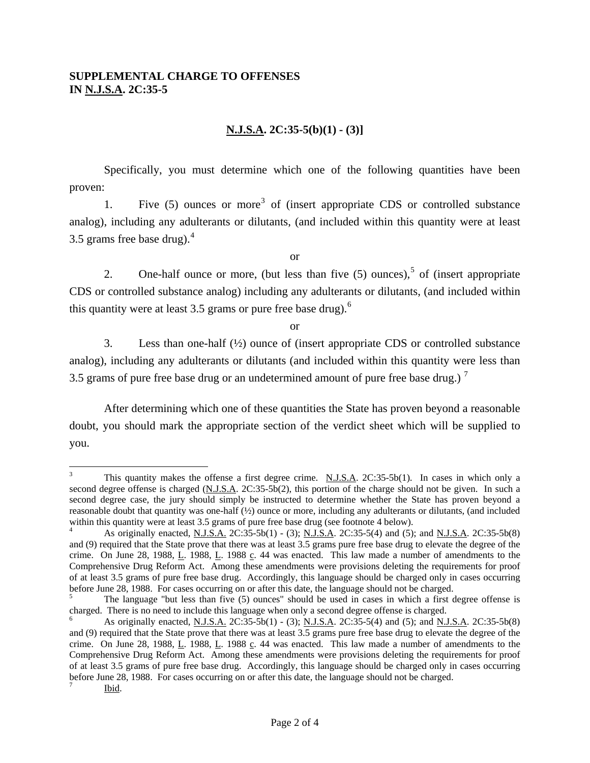#### **SUPPLEMENTAL CHARGE TO OFFENSES IN N.J.S.A. 2C:35-5**

# **N.J.S.A. 2C:35-5(b)(1) - (3)]**

 Specifically, you must determine which one of the following quantities have been proven:

1. Five  $(5)$  ounces or more<sup>[3](#page-0-2)</sup> of (insert appropriate CDS or controlled substance analog), including any adulterants or dilutants, (and included within this quantity were at least 3.5 grams free base drug).<sup>[4](#page-1-0)</sup>

or

2. One-half ounce or more, (but less than five  $(5)$  $(5)$  $(5)$  ounces),<sup>5</sup> of (insert appropriate CDS or controlled substance analog) including any adulterants or dilutants, (and included within this quantity were at least 3.5 grams or pure free base drug).<sup>[6](#page-1-2)</sup>

or

 3. Less than one-half (½) ounce of (insert appropriate CDS or controlled substance analog), including any adulterants or dilutants (and included within this quantity were less than 3.5 grams of pure free base drug or an undetermined amount of pure free base drug.)<sup>[7](#page-1-3)</sup>

 After determining which one of these quantities the State has proven beyond a reasonable doubt, you should mark the appropriate section of the verdict sheet which will be supplied to you.

 $\frac{1}{3}$  This quantity makes the offense a first degree crime. N.J.S.A. 2C:35-5b(1). In cases in which only a second degree offense is charged (N.J.S.A. 2C:35-5b(2), this portion of the charge should not be given. In such a second degree case, the jury should simply be instructed to determine whether the State has proven beyond a reasonable doubt that quantity was one-half (½) ounce or more, including any adulterants or dilutants, (and included within this quantity were at least 3.5 grams of pure free base drug (see footnote 4 below).

<span id="page-1-0"></span>As originally enacted, N.J.S.A. 2C:35-5b(1) - (3); N.J.S.A. 2C:35-5(4) and (5); and N.J.S.A. 2C:35-5b(8) and (9) required that the State prove that there was at least 3.5 grams pure free base drug to elevate the degree of the crime. On June 28, 1988,  $\underline{L}$ . 1988,  $\underline{L}$ . 1988  $\underline{c}$ . 44 was enacted. This law made a number of amendments to the Comprehensive Drug Reform Act. Among these amendments were provisions deleting the requirements for proof of at least 3.5 grams of pure free base drug. Accordingly, this language should be charged only in cases occurring before June 28, 1988. For cases occurring on or after this date, the language should not be charged.

<span id="page-1-1"></span><sup>5</sup> The language "but less than five (5) ounces" should be used in cases in which a first degree offense is charged. There is no need to include this language when only a second degree offense is charged.

<span id="page-1-4"></span><span id="page-1-3"></span><span id="page-1-2"></span><sup>6</sup> As originally enacted, N.J.S.A. 2C:35-5b(1) - (3); N.J.S.A. 2C:35-5(4) and (5); and N.J.S.A. 2C:35-5b(8) and (9) required that the State prove that there was at least 3.5 grams pure free base drug to elevate the degree of the crime. On June 28, 1988, L. 1988, L. 1988 c. 44 was enacted. This law made a number of amendments to the Comprehensive Drug Reform Act. Among these amendments were provisions deleting the requirements for proof of at least 3.5 grams of pure free base drug. Accordingly, this language should be charged only in cases occurring before June 28, 1988. For cases occurring on or after this date, the language should not be charged. 7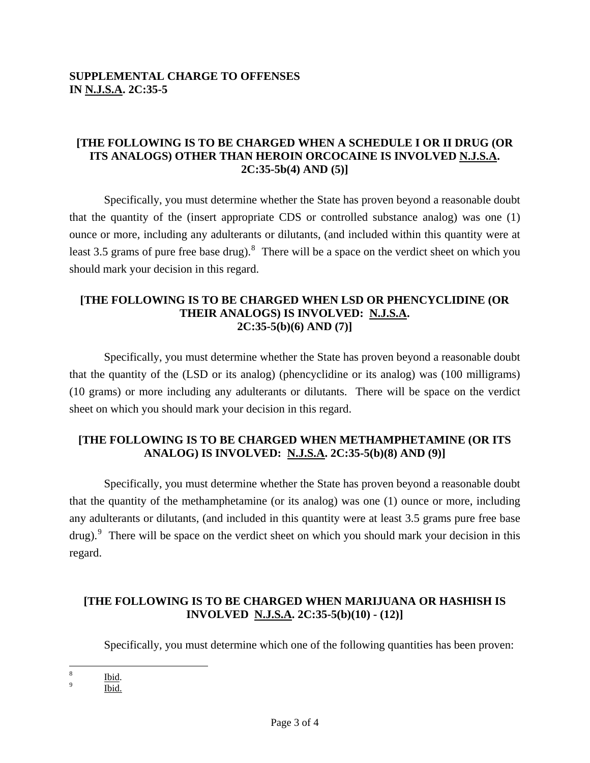## **SUPPLEMENTAL CHARGE TO OFFENSES IN N.J.S.A. 2C:35-5**

## **[THE FOLLOWING IS TO BE CHARGED WHEN A SCHEDULE I OR II DRUG (OR ITS ANALOGS) OTHER THAN HEROIN ORCOCAINE IS INVOLVED N.J.S.A. 2C:35-5b(4) AND (5)]**

 Specifically, you must determine whether the State has proven beyond a reasonable doubt that the quantity of the (insert appropriate CDS or controlled substance analog) was one (1) ounce or more, including any adulterants or dilutants, (and included within this quantity were at least 3.5 grams of pure free base drug).<sup>[8](#page-1-4)</sup> There will be a space on the verdict sheet on which you should mark your decision in this regard.

#### **[THE FOLLOWING IS TO BE CHARGED WHEN LSD OR PHENCYCLIDINE (OR THEIR ANALOGS) IS INVOLVED: N.J.S.A. 2C:35-5(b)(6) AND (7)]**

 Specifically, you must determine whether the State has proven beyond a reasonable doubt that the quantity of the (LSD or its analog) (phencyclidine or its analog) was (100 milligrams) (10 grams) or more including any adulterants or dilutants. There will be space on the verdict sheet on which you should mark your decision in this regard.

# **[THE FOLLOWING IS TO BE CHARGED WHEN METHAMPHETAMINE (OR ITS ANALOG) IS INVOLVED: N.J.S.A. 2C:35-5(b)(8) AND (9)]**

 Specifically, you must determine whether the State has proven beyond a reasonable doubt that the quantity of the methamphetamine (or its analog) was one (1) ounce or more, including any adulterants or dilutants, (and included in this quantity were at least 3.5 grams pure free base  $d\text{rug})$ . There will be space on the verdict sheet on which you should mark your decision in this regard.

# **[THE FOLLOWING IS TO BE CHARGED WHEN MARIJUANA OR HASHISH IS INVOLVED N.J.S.A. 2C:35-5(b)(10) - (12)]**

Specifically, you must determine which one of the following quantities has been proven:

<span id="page-2-1"></span> 8 Ibid.

<span id="page-2-0"></span>Ibid.